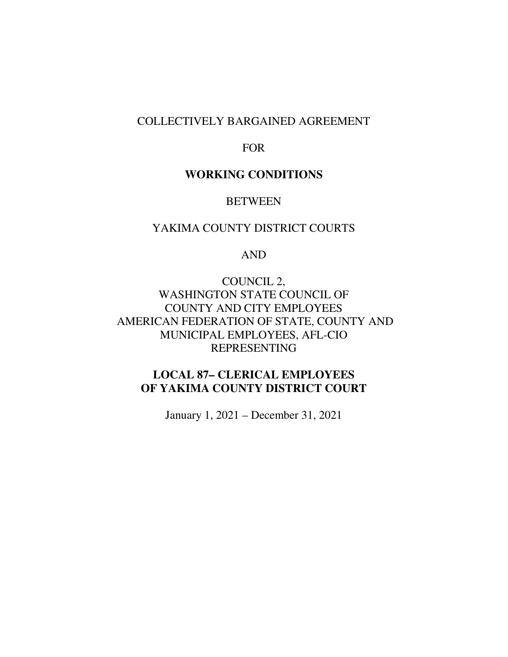## COLLECTIVELY BARGAINED AGREEMENT

## FOR

# **WORKING CONDITIONS**

## BETWEEN

# YAKIMA COUNTY DISTRICT COURTS

#### AND

COUNCIL 2, WASHINGTON STATE COUNCIL OF COUNTY AND CITY EMPLOYEES AMERICAN FEDERATION OF STATE, COUNTY AND MUNICIPAL EMPLOYEES, AFL-CIO REPRESENTING

# **LOCAL 87– CLERICAL EMPLOYEES OF YAKIMA COUNTY DISTRICT COURT**

January 1, 2021 – December 31, 2021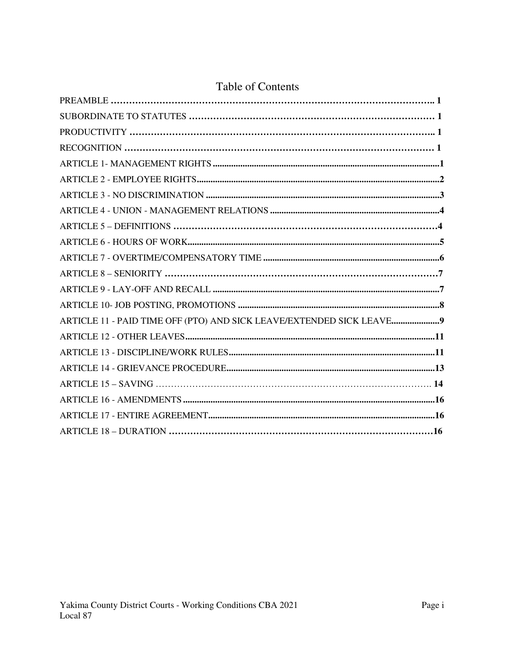# **Table of Contents**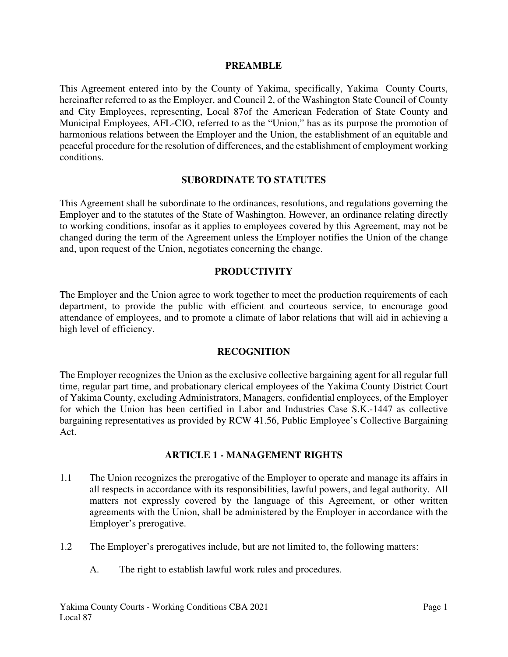#### **PREAMBLE**

This Agreement entered into by the County of Yakima, specifically, Yakima County Courts, hereinafter referred to as the Employer, and Council 2, of the Washington State Council of County and City Employees, representing, Local 87of the American Federation of State County and Municipal Employees, AFL-CIO, referred to as the "Union," has as its purpose the promotion of harmonious relations between the Employer and the Union, the establishment of an equitable and peaceful procedure for the resolution of differences, and the establishment of employment working conditions.

#### **SUBORDINATE TO STATUTES**

This Agreement shall be subordinate to the ordinances, resolutions, and regulations governing the Employer and to the statutes of the State of Washington. However, an ordinance relating directly to working conditions, insofar as it applies to employees covered by this Agreement, may not be changed during the term of the Agreement unless the Employer notifies the Union of the change and, upon request of the Union, negotiates concerning the change.

#### **PRODUCTIVITY**

The Employer and the Union agree to work together to meet the production requirements of each department, to provide the public with efficient and courteous service, to encourage good attendance of employees, and to promote a climate of labor relations that will aid in achieving a high level of efficiency.

#### **RECOGNITION**

The Employer recognizes the Union as the exclusive collective bargaining agent for all regular full time, regular part time, and probationary clerical employees of the Yakima County District Court of Yakima County, excluding Administrators, Managers, confidential employees, of the Employer for which the Union has been certified in Labor and Industries Case S.K.-1447 as collective bargaining representatives as provided by RCW 41.56, Public Employee's Collective Bargaining Act.

#### **ARTICLE 1 - MANAGEMENT RIGHTS**

- 1.1 The Union recognizes the prerogative of the Employer to operate and manage its affairs in all respects in accordance with its responsibilities, lawful powers, and legal authority. All matters not expressly covered by the language of this Agreement, or other written agreements with the Union, shall be administered by the Employer in accordance with the Employer's prerogative.
- 1.2 The Employer's prerogatives include, but are not limited to, the following matters:
	- A. The right to establish lawful work rules and procedures.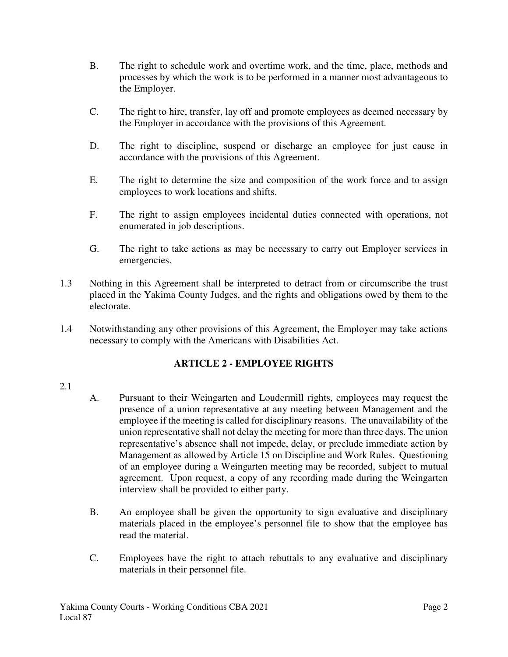- B. The right to schedule work and overtime work, and the time, place, methods and processes by which the work is to be performed in a manner most advantageous to the Employer.
- C. The right to hire, transfer, lay off and promote employees as deemed necessary by the Employer in accordance with the provisions of this Agreement.
- D. The right to discipline, suspend or discharge an employee for just cause in accordance with the provisions of this Agreement.
- E. The right to determine the size and composition of the work force and to assign employees to work locations and shifts.
- F. The right to assign employees incidental duties connected with operations, not enumerated in job descriptions.
- G. The right to take actions as may be necessary to carry out Employer services in emergencies.
- 1.3 Nothing in this Agreement shall be interpreted to detract from or circumscribe the trust placed in the Yakima County Judges, and the rights and obligations owed by them to the electorate.
- 1.4 Notwithstanding any other provisions of this Agreement, the Employer may take actions necessary to comply with the Americans with Disabilities Act.

# **ARTICLE 2 - EMPLOYEE RIGHTS**

#### 2.1

- A. Pursuant to their Weingarten and Loudermill rights, employees may request the presence of a union representative at any meeting between Management and the employee if the meeting is called for disciplinary reasons. The unavailability of the union representative shall not delay the meeting for more than three days. The union representative's absence shall not impede, delay, or preclude immediate action by Management as allowed by Article 15 on Discipline and Work Rules. Questioning of an employee during a Weingarten meeting may be recorded, subject to mutual agreement. Upon request, a copy of any recording made during the Weingarten interview shall be provided to either party.
- B. An employee shall be given the opportunity to sign evaluative and disciplinary materials placed in the employee's personnel file to show that the employee has read the material.
- C. Employees have the right to attach rebuttals to any evaluative and disciplinary materials in their personnel file.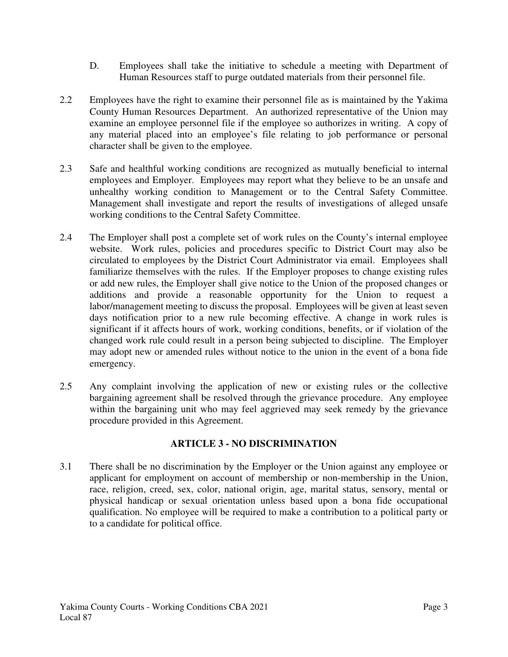- D. Employees shall take the initiative to schedule a meeting with Department of Human Resources staff to purge outdated materials from their personnel file.
- 2.2 Employees have the right to examine their personnel file as is maintained by the Yakima County Human Resources Department. An authorized representative of the Union may examine an employee personnel file if the employee so authorizes in writing. A copy of any material placed into an employee's file relating to job performance or personal character shall be given to the employee.
- 2.3 Safe and healthful working conditions are recognized as mutually beneficial to internal employees and Employer. Employees may report what they believe to be an unsafe and unhealthy working condition to Management or to the Central Safety Committee. Management shall investigate and report the results of investigations of alleged unsafe working conditions to the Central Safety Committee.
- 2.4 The Employer shall post a complete set of work rules on the County's internal employee website. Work rules, policies and procedures specific to District Court may also be circulated to employees by the District Court Administrator via email. Employees shall familiarize themselves with the rules. If the Employer proposes to change existing rules or add new rules, the Employer shall give notice to the Union of the proposed changes or additions and provide a reasonable opportunity for the Union to request a labor/management meeting to discuss the proposal. Employees will be given at least seven days notification prior to a new rule becoming effective. A change in work rules is significant if it affects hours of work, working conditions, benefits, or if violation of the changed work rule could result in a person being subjected to discipline. The Employer may adopt new or amended rules without notice to the union in the event of a bona fide emergency.
- 2.5 Any complaint involving the application of new or existing rules or the collective bargaining agreement shall be resolved through the grievance procedure. Any employee within the bargaining unit who may feel aggrieved may seek remedy by the grievance procedure provided in this Agreement.

## **ARTICLE 3 - NO DISCRIMINATION**

3.1 There shall be no discrimination by the Employer or the Union against any employee or applicant for employment on account of membership or non-membership in the Union, race, religion, creed, sex, color, national origin, age, marital status, sensory, mental or physical handicap or sexual orientation unless based upon a bona fide occupational qualification. No employee will be required to make a contribution to a political party or to a candidate for political office.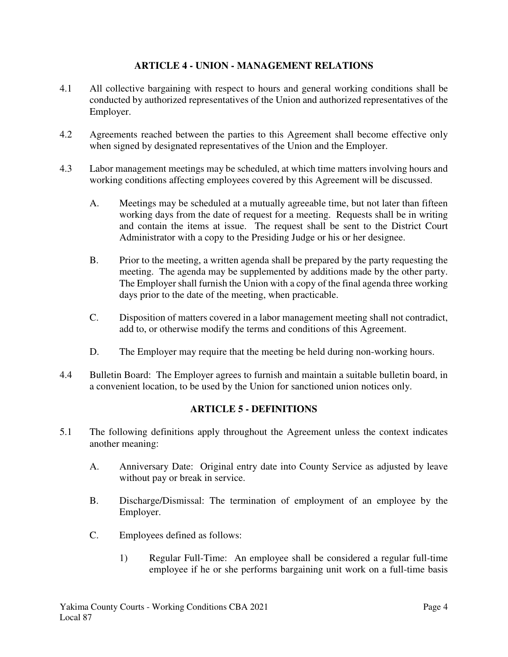#### **ARTICLE 4 - UNION - MANAGEMENT RELATIONS**

- 4.1 All collective bargaining with respect to hours and general working conditions shall be conducted by authorized representatives of the Union and authorized representatives of the Employer.
- 4.2 Agreements reached between the parties to this Agreement shall become effective only when signed by designated representatives of the Union and the Employer.
- 4.3 Labor management meetings may be scheduled, at which time matters involving hours and working conditions affecting employees covered by this Agreement will be discussed.
	- A. Meetings may be scheduled at a mutually agreeable time, but not later than fifteen working days from the date of request for a meeting. Requests shall be in writing and contain the items at issue. The request shall be sent to the District Court Administrator with a copy to the Presiding Judge or his or her designee.
	- B. Prior to the meeting, a written agenda shall be prepared by the party requesting the meeting. The agenda may be supplemented by additions made by the other party. The Employer shall furnish the Union with a copy of the final agenda three working days prior to the date of the meeting, when practicable.
	- C. Disposition of matters covered in a labor management meeting shall not contradict, add to, or otherwise modify the terms and conditions of this Agreement.
	- D. The Employer may require that the meeting be held during non-working hours.
- 4.4 Bulletin Board: The Employer agrees to furnish and maintain a suitable bulletin board, in a convenient location, to be used by the Union for sanctioned union notices only.

## **ARTICLE 5 - DEFINITIONS**

- 5.1 The following definitions apply throughout the Agreement unless the context indicates another meaning:
	- A. Anniversary Date: Original entry date into County Service as adjusted by leave without pay or break in service.
	- B. Discharge/Dismissal: The termination of employment of an employee by the Employer.
	- C. Employees defined as follows:
		- 1) Regular Full-Time: An employee shall be considered a regular full-time employee if he or she performs bargaining unit work on a full-time basis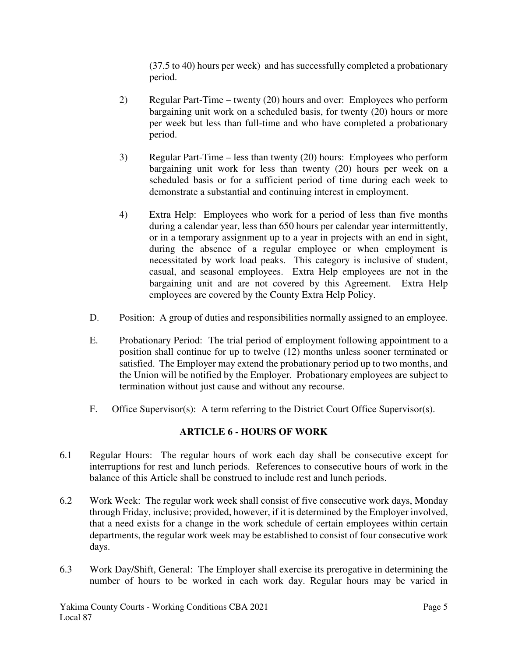(37.5 to 40) hours per week) and has successfully completed a probationary period.

- 2) Regular Part-Time twenty (20) hours and over: Employees who perform bargaining unit work on a scheduled basis, for twenty (20) hours or more per week but less than full-time and who have completed a probationary period.
- 3) Regular Part-Time less than twenty (20) hours: Employees who perform bargaining unit work for less than twenty (20) hours per week on a scheduled basis or for a sufficient period of time during each week to demonstrate a substantial and continuing interest in employment.
- 4) Extra Help: Employees who work for a period of less than five months during a calendar year, less than 650 hours per calendar year intermittently, or in a temporary assignment up to a year in projects with an end in sight, during the absence of a regular employee or when employment is necessitated by work load peaks. This category is inclusive of student, casual, and seasonal employees. Extra Help employees are not in the bargaining unit and are not covered by this Agreement. Extra Help employees are covered by the County Extra Help Policy.
- D. Position: A group of duties and responsibilities normally assigned to an employee.
- E. Probationary Period: The trial period of employment following appointment to a position shall continue for up to twelve (12) months unless sooner terminated or satisfied. The Employer may extend the probationary period up to two months, and the Union will be notified by the Employer. Probationary employees are subject to termination without just cause and without any recourse.
- F. Office Supervisor(s): A term referring to the District Court Office Supervisor(s).

# **ARTICLE 6 - HOURS OF WORK**

- 6.1 Regular Hours: The regular hours of work each day shall be consecutive except for interruptions for rest and lunch periods. References to consecutive hours of work in the balance of this Article shall be construed to include rest and lunch periods.
- 6.2 Work Week: The regular work week shall consist of five consecutive work days, Monday through Friday, inclusive; provided, however, if it is determined by the Employer involved, that a need exists for a change in the work schedule of certain employees within certain departments, the regular work week may be established to consist of four consecutive work days.
- 6.3 Work Day/Shift, General: The Employer shall exercise its prerogative in determining the number of hours to be worked in each work day. Regular hours may be varied in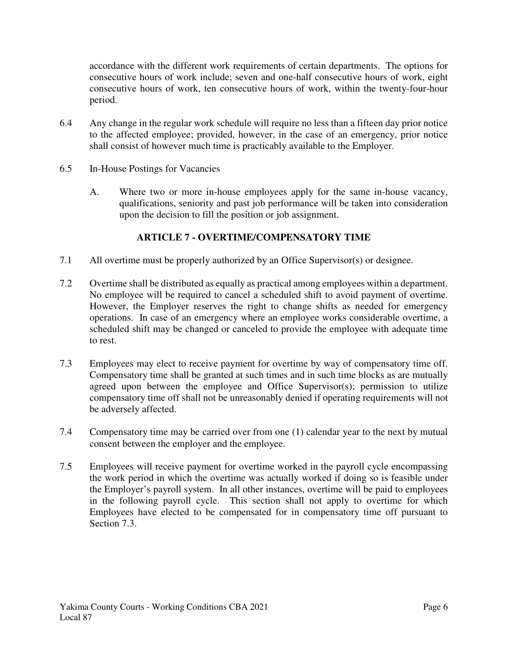accordance with the different work requirements of certain departments. The options for consecutive hours of work include; seven and one-half consecutive hours of work, eight consecutive hours of work, ten consecutive hours of work, within the twenty-four-hour period.

- 6.4 Any change in the regular work schedule will require no less than a fifteen day prior notice to the affected employee; provided, however, in the case of an emergency, prior notice shall consist of however much time is practicably available to the Employer.
- 6.5 In-House Postings for Vacancies
	- A. Where two or more in-house employees apply for the same in-house vacancy, qualifications, seniority and past job performance will be taken into consideration upon the decision to fill the position or job assignment.

## **ARTICLE 7 - OVERTIME/COMPENSATORY TIME**

- 7.1 All overtime must be properly authorized by an Office Supervisor(s) or designee.
- 7.2 Overtime shall be distributed as equally as practical among employees within a department. No employee will be required to cancel a scheduled shift to avoid payment of overtime. However, the Employer reserves the right to change shifts as needed for emergency operations. In case of an emergency where an employee works considerable overtime, a scheduled shift may be changed or canceled to provide the employee with adequate time to rest.
- 7.3 Employees may elect to receive payment for overtime by way of compensatory time off. Compensatory time shall be granted at such times and in such time blocks as are mutually agreed upon between the employee and Office Supervisor(s); permission to utilize compensatory time off shall not be unreasonably denied if operating requirements will not be adversely affected.
- 7.4 Compensatory time may be carried over from one (1) calendar year to the next by mutual consent between the employer and the employee.
- 7.5 Employees will receive payment for overtime worked in the payroll cycle encompassing the work period in which the overtime was actually worked if doing so is feasible under the Employer's payroll system. In all other instances, overtime will be paid to employees in the following payroll cycle. This section shall not apply to overtime for which Employees have elected to be compensated for in compensatory time off pursuant to Section 7.3.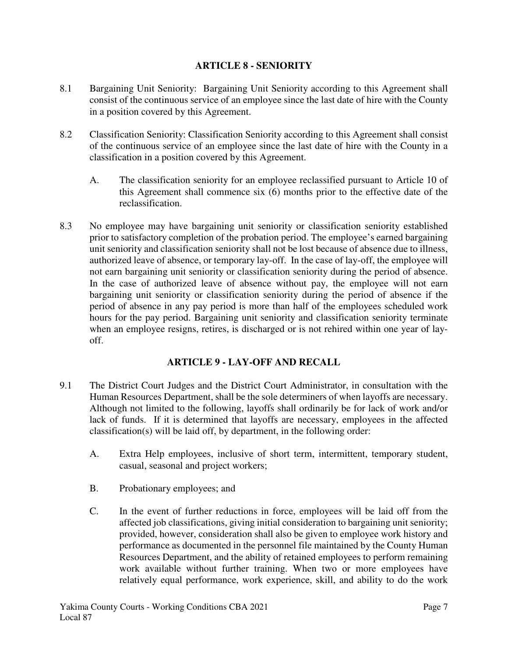#### **ARTICLE 8 - SENIORITY**

- 8.1 Bargaining Unit Seniority: Bargaining Unit Seniority according to this Agreement shall consist of the continuous service of an employee since the last date of hire with the County in a position covered by this Agreement.
- 8.2 Classification Seniority: Classification Seniority according to this Agreement shall consist of the continuous service of an employee since the last date of hire with the County in a classification in a position covered by this Agreement.
	- A. The classification seniority for an employee reclassified pursuant to Article 10 of this Agreement shall commence six (6) months prior to the effective date of the reclassification.
- 8.3 No employee may have bargaining unit seniority or classification seniority established prior to satisfactory completion of the probation period. The employee's earned bargaining unit seniority and classification seniority shall not be lost because of absence due to illness, authorized leave of absence, or temporary lay-off. In the case of lay-off, the employee will not earn bargaining unit seniority or classification seniority during the period of absence. In the case of authorized leave of absence without pay, the employee will not earn bargaining unit seniority or classification seniority during the period of absence if the period of absence in any pay period is more than half of the employees scheduled work hours for the pay period. Bargaining unit seniority and classification seniority terminate when an employee resigns, retires, is discharged or is not rehired within one year of layoff.

## **ARTICLE 9 - LAY-OFF AND RECALL**

- 9.1 The District Court Judges and the District Court Administrator, in consultation with the Human Resources Department, shall be the sole determiners of when layoffs are necessary. Although not limited to the following, layoffs shall ordinarily be for lack of work and/or lack of funds. If it is determined that layoffs are necessary, employees in the affected classification(s) will be laid off, by department, in the following order:
	- A. Extra Help employees, inclusive of short term, intermittent, temporary student, casual, seasonal and project workers;
	- B. Probationary employees; and
	- C. In the event of further reductions in force, employees will be laid off from the affected job classifications, giving initial consideration to bargaining unit seniority; provided, however, consideration shall also be given to employee work history and performance as documented in the personnel file maintained by the County Human Resources Department, and the ability of retained employees to perform remaining work available without further training. When two or more employees have relatively equal performance, work experience, skill, and ability to do the work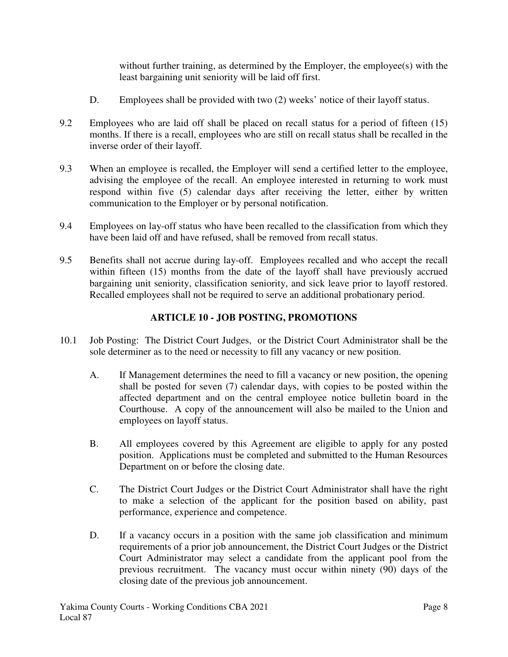without further training, as determined by the Employer, the employee(s) with the least bargaining unit seniority will be laid off first.

- D. Employees shall be provided with two (2) weeks' notice of their layoff status.
- 9.2 Employees who are laid off shall be placed on recall status for a period of fifteen (15) months. If there is a recall, employees who are still on recall status shall be recalled in the inverse order of their layoff.
- 9.3 When an employee is recalled, the Employer will send a certified letter to the employee, advising the employee of the recall. An employee interested in returning to work must respond within five (5) calendar days after receiving the letter, either by written communication to the Employer or by personal notification.
- 9.4 Employees on lay-off status who have been recalled to the classification from which they have been laid off and have refused, shall be removed from recall status.
- 9.5 Benefits shall not accrue during lay-off. Employees recalled and who accept the recall within fifteen (15) months from the date of the layoff shall have previously accrued bargaining unit seniority, classification seniority, and sick leave prior to layoff restored. Recalled employees shall not be required to serve an additional probationary period.

# **ARTICLE 10 - JOB POSTING, PROMOTIONS**

- 10.1 Job Posting: The District Court Judges, or the District Court Administrator shall be the sole determiner as to the need or necessity to fill any vacancy or new position.
	- A. If Management determines the need to fill a vacancy or new position, the opening shall be posted for seven (7) calendar days, with copies to be posted within the affected department and on the central employee notice bulletin board in the Courthouse. A copy of the announcement will also be mailed to the Union and employees on layoff status.
	- B. All employees covered by this Agreement are eligible to apply for any posted position. Applications must be completed and submitted to the Human Resources Department on or before the closing date.
	- C. The District Court Judges or the District Court Administrator shall have the right to make a selection of the applicant for the position based on ability, past performance, experience and competence.
	- D. If a vacancy occurs in a position with the same job classification and minimum requirements of a prior job announcement, the District Court Judges or the District Court Administrator may select a candidate from the applicant pool from the previous recruitment. The vacancy must occur within ninety (90) days of the closing date of the previous job announcement.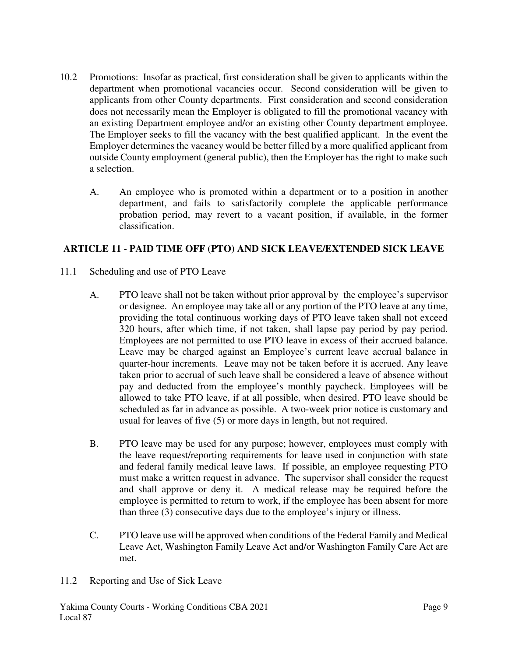- 10.2 Promotions: Insofar as practical, first consideration shall be given to applicants within the department when promotional vacancies occur. Second consideration will be given to applicants from other County departments. First consideration and second consideration does not necessarily mean the Employer is obligated to fill the promotional vacancy with an existing Department employee and/or an existing other County department employee. The Employer seeks to fill the vacancy with the best qualified applicant. In the event the Employer determines the vacancy would be better filled by a more qualified applicant from outside County employment (general public), then the Employer has the right to make such a selection.
	- A. An employee who is promoted within a department or to a position in another department, and fails to satisfactorily complete the applicable performance probation period, may revert to a vacant position, if available, in the former classification.

# **ARTICLE 11 - PAID TIME OFF (PTO) AND SICK LEAVE/EXTENDED SICK LEAVE**

- 11.1 Scheduling and use of PTO Leave
	- A. PTO leave shall not be taken without prior approval by the employee's supervisor or designee. An employee may take all or any portion of the PTO leave at any time, providing the total continuous working days of PTO leave taken shall not exceed 320 hours, after which time, if not taken, shall lapse pay period by pay period. Employees are not permitted to use PTO leave in excess of their accrued balance. Leave may be charged against an Employee's current leave accrual balance in quarter-hour increments. Leave may not be taken before it is accrued. Any leave taken prior to accrual of such leave shall be considered a leave of absence without pay and deducted from the employee's monthly paycheck. Employees will be allowed to take PTO leave, if at all possible, when desired. PTO leave should be scheduled as far in advance as possible. A two-week prior notice is customary and usual for leaves of five (5) or more days in length, but not required.
	- B. PTO leave may be used for any purpose; however, employees must comply with the leave request/reporting requirements for leave used in conjunction with state and federal family medical leave laws. If possible, an employee requesting PTO must make a written request in advance. The supervisor shall consider the request and shall approve or deny it. A medical release may be required before the employee is permitted to return to work, if the employee has been absent for more than three (3) consecutive days due to the employee's injury or illness.
	- C. PTO leave use will be approved when conditions of the Federal Family and Medical Leave Act, Washington Family Leave Act and/or Washington Family Care Act are met.
- 11.2 Reporting and Use of Sick Leave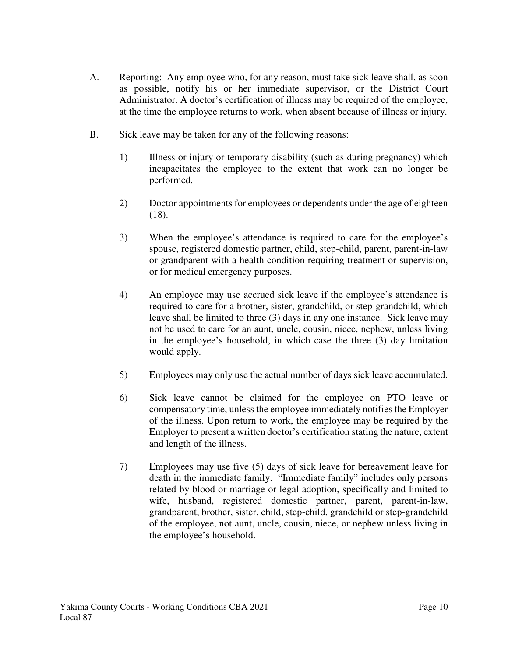- A. Reporting: Any employee who, for any reason, must take sick leave shall, as soon as possible, notify his or her immediate supervisor, or the District Court Administrator. A doctor's certification of illness may be required of the employee, at the time the employee returns to work, when absent because of illness or injury.
- B. Sick leave may be taken for any of the following reasons:
	- 1) Illness or injury or temporary disability (such as during pregnancy) which incapacitates the employee to the extent that work can no longer be performed.
	- 2) Doctor appointments for employees or dependents under the age of eighteen (18).
	- 3) When the employee's attendance is required to care for the employee's spouse, registered domestic partner, child, step-child, parent, parent-in-law or grandparent with a health condition requiring treatment or supervision, or for medical emergency purposes.
	- 4) An employee may use accrued sick leave if the employee's attendance is required to care for a brother, sister, grandchild, or step-grandchild, which leave shall be limited to three (3) days in any one instance. Sick leave may not be used to care for an aunt, uncle, cousin, niece, nephew, unless living in the employee's household, in which case the three (3) day limitation would apply.
	- 5) Employees may only use the actual number of days sick leave accumulated.
	- 6) Sick leave cannot be claimed for the employee on PTO leave or compensatory time, unless the employee immediately notifies the Employer of the illness. Upon return to work, the employee may be required by the Employer to present a written doctor's certification stating the nature, extent and length of the illness.
	- 7) Employees may use five (5) days of sick leave for bereavement leave for death in the immediate family. "Immediate family" includes only persons related by blood or marriage or legal adoption, specifically and limited to wife, husband, registered domestic partner, parent, parent-in-law, grandparent, brother, sister, child, step-child, grandchild or step-grandchild of the employee, not aunt, uncle, cousin, niece, or nephew unless living in the employee's household.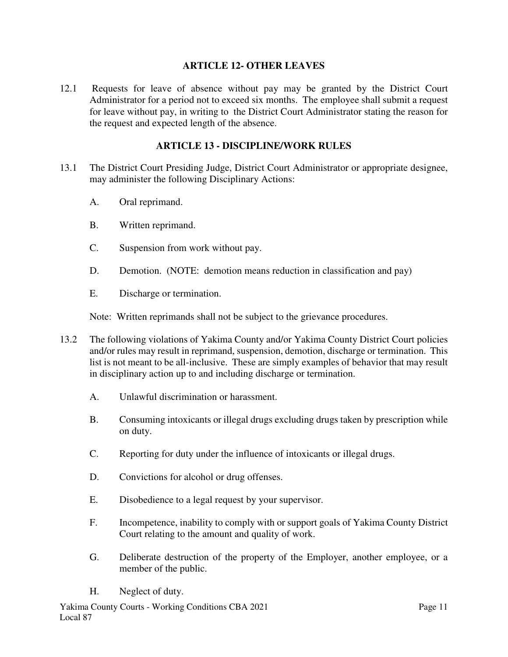#### **ARTICLE 12- OTHER LEAVES**

12.1 Requests for leave of absence without pay may be granted by the District Court Administrator for a period not to exceed six months. The employee shall submit a request for leave without pay, in writing to the District Court Administrator stating the reason for the request and expected length of the absence.

#### **ARTICLE 13 - DISCIPLINE/WORK RULES**

- 13.1 The District Court Presiding Judge, District Court Administrator or appropriate designee, may administer the following Disciplinary Actions:
	- A. Oral reprimand.
	- B. Written reprimand.
	- C. Suspension from work without pay.
	- D. Demotion. (NOTE: demotion means reduction in classification and pay)
	- E. Discharge or termination.

Note: Written reprimands shall not be subject to the grievance procedures.

- 13.2 The following violations of Yakima County and/or Yakima County District Court policies and/or rules may result in reprimand, suspension, demotion, discharge or termination. This list is not meant to be all-inclusive. These are simply examples of behavior that may result in disciplinary action up to and including discharge or termination.
	- A. Unlawful discrimination or harassment.
	- B. Consuming intoxicants or illegal drugs excluding drugs taken by prescription while on duty.
	- C. Reporting for duty under the influence of intoxicants or illegal drugs.
	- D. Convictions for alcohol or drug offenses.
	- E. Disobedience to a legal request by your supervisor.
	- F. Incompetence, inability to comply with or support goals of Yakima County District Court relating to the amount and quality of work.
	- G. Deliberate destruction of the property of the Employer, another employee, or a member of the public.
	- H. Neglect of duty.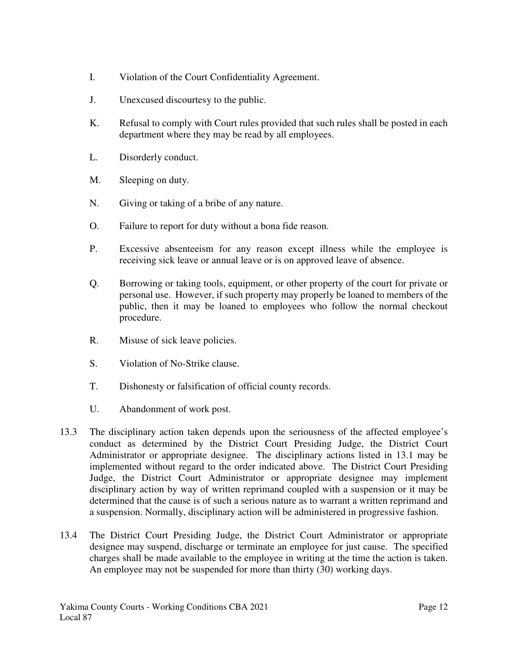- I. Violation of the Court Confidentiality Agreement.
- J. Unexcused discourtesy to the public.
- K. Refusal to comply with Court rules provided that such rules shall be posted in each department where they may be read by all employees.
- L. Disorderly conduct.
- M. Sleeping on duty.
- N. Giving or taking of a bribe of any nature.
- O. Failure to report for duty without a bona fide reason.
- P. Excessive absenteeism for any reason except illness while the employee is receiving sick leave or annual leave or is on approved leave of absence.
- Q. Borrowing or taking tools, equipment, or other property of the court for private or personal use. However, if such property may properly be loaned to members of the public, then it may be loaned to employees who follow the normal checkout procedure.
- R. Misuse of sick leave policies.
- S. Violation of No-Strike clause.
- T. Dishonesty or falsification of official county records.
- U. Abandonment of work post.
- 13.3 The disciplinary action taken depends upon the seriousness of the affected employee's conduct as determined by the District Court Presiding Judge, the District Court Administrator or appropriate designee. The disciplinary actions listed in 13.1 may be implemented without regard to the order indicated above. The District Court Presiding Judge, the District Court Administrator or appropriate designee may implement disciplinary action by way of written reprimand coupled with a suspension or it may be determined that the cause is of such a serious nature as to warrant a written reprimand and a suspension. Normally, disciplinary action will be administered in progressive fashion.
- 13.4 The District Court Presiding Judge, the District Court Administrator or appropriate designee may suspend, discharge or terminate an employee for just cause. The specified charges shall be made available to the employee in writing at the time the action is taken. An employee may not be suspended for more than thirty (30) working days.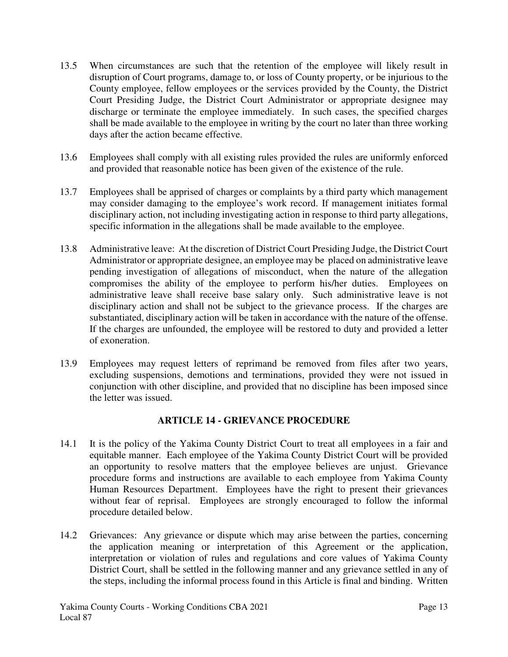- 13.5 When circumstances are such that the retention of the employee will likely result in disruption of Court programs, damage to, or loss of County property, or be injurious to the County employee, fellow employees or the services provided by the County, the District Court Presiding Judge, the District Court Administrator or appropriate designee may discharge or terminate the employee immediately. In such cases, the specified charges shall be made available to the employee in writing by the court no later than three working days after the action became effective.
- 13.6 Employees shall comply with all existing rules provided the rules are uniformly enforced and provided that reasonable notice has been given of the existence of the rule.
- 13.7 Employees shall be apprised of charges or complaints by a third party which management may consider damaging to the employee's work record. If management initiates formal disciplinary action, not including investigating action in response to third party allegations, specific information in the allegations shall be made available to the employee.
- 13.8 Administrative leave: At the discretion of District Court Presiding Judge, the District Court Administrator or appropriate designee, an employee may be placed on administrative leave pending investigation of allegations of misconduct, when the nature of the allegation compromises the ability of the employee to perform his/her duties. Employees on administrative leave shall receive base salary only. Such administrative leave is not disciplinary action and shall not be subject to the grievance process. If the charges are substantiated, disciplinary action will be taken in accordance with the nature of the offense. If the charges are unfounded, the employee will be restored to duty and provided a letter of exoneration.
- 13.9 Employees may request letters of reprimand be removed from files after two years, excluding suspensions, demotions and terminations, provided they were not issued in conjunction with other discipline, and provided that no discipline has been imposed since the letter was issued.

## **ARTICLE 14 - GRIEVANCE PROCEDURE**

- 14.1 It is the policy of the Yakima County District Court to treat all employees in a fair and equitable manner. Each employee of the Yakima County District Court will be provided an opportunity to resolve matters that the employee believes are unjust. Grievance procedure forms and instructions are available to each employee from Yakima County Human Resources Department. Employees have the right to present their grievances without fear of reprisal. Employees are strongly encouraged to follow the informal procedure detailed below.
- 14.2 Grievances: Any grievance or dispute which may arise between the parties, concerning the application meaning or interpretation of this Agreement or the application, interpretation or violation of rules and regulations and core values of Yakima County District Court, shall be settled in the following manner and any grievance settled in any of the steps, including the informal process found in this Article is final and binding. Written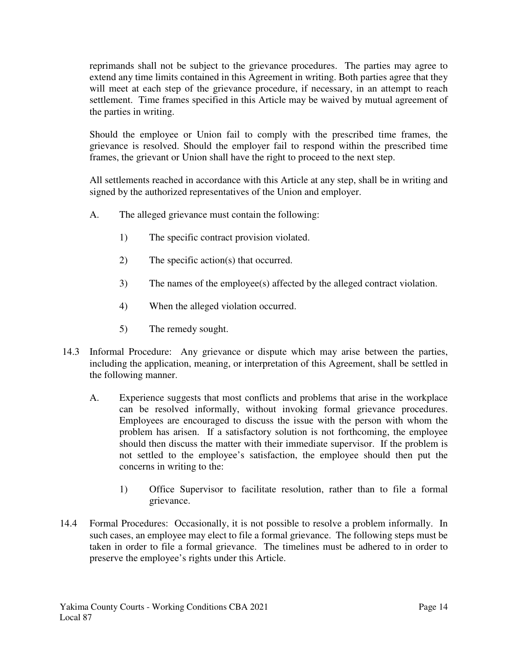reprimands shall not be subject to the grievance procedures. The parties may agree to extend any time limits contained in this Agreement in writing. Both parties agree that they will meet at each step of the grievance procedure, if necessary, in an attempt to reach settlement. Time frames specified in this Article may be waived by mutual agreement of the parties in writing.

Should the employee or Union fail to comply with the prescribed time frames, the grievance is resolved. Should the employer fail to respond within the prescribed time frames, the grievant or Union shall have the right to proceed to the next step.

All settlements reached in accordance with this Article at any step, shall be in writing and signed by the authorized representatives of the Union and employer.

- A. The alleged grievance must contain the following:
	- 1) The specific contract provision violated.
	- 2) The specific action(s) that occurred.
	- 3) The names of the employee(s) affected by the alleged contract violation.
	- 4) When the alleged violation occurred.
	- 5) The remedy sought.
- 14.3 Informal Procedure: Any grievance or dispute which may arise between the parties, including the application, meaning, or interpretation of this Agreement, shall be settled in the following manner.
	- A. Experience suggests that most conflicts and problems that arise in the workplace can be resolved informally, without invoking formal grievance procedures. Employees are encouraged to discuss the issue with the person with whom the problem has arisen. If a satisfactory solution is not forthcoming, the employee should then discuss the matter with their immediate supervisor. If the problem is not settled to the employee's satisfaction, the employee should then put the concerns in writing to the:
		- 1) Office Supervisor to facilitate resolution, rather than to file a formal grievance.
- 14.4 Formal Procedures: Occasionally, it is not possible to resolve a problem informally. In such cases, an employee may elect to file a formal grievance. The following steps must be taken in order to file a formal grievance. The timelines must be adhered to in order to preserve the employee's rights under this Article.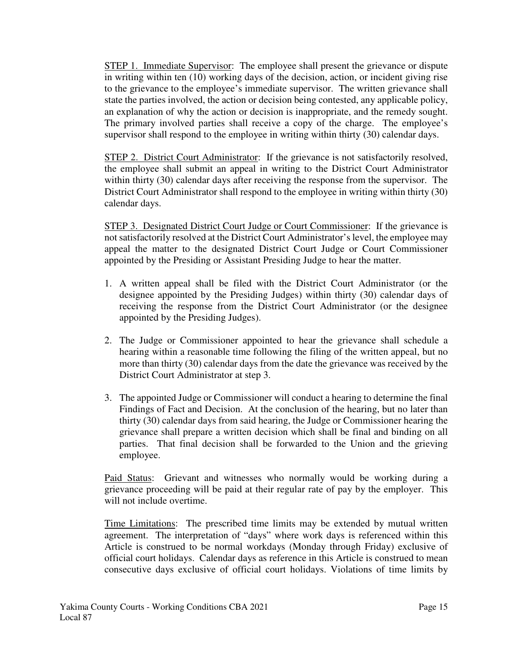STEP 1. Immediate Supervisor: The employee shall present the grievance or dispute in writing within ten (10) working days of the decision, action, or incident giving rise to the grievance to the employee's immediate supervisor. The written grievance shall state the parties involved, the action or decision being contested, any applicable policy, an explanation of why the action or decision is inappropriate, and the remedy sought. The primary involved parties shall receive a copy of the charge. The employee's supervisor shall respond to the employee in writing within thirty (30) calendar days.

STEP 2. District Court Administrator: If the grievance is not satisfactorily resolved, the employee shall submit an appeal in writing to the District Court Administrator within thirty (30) calendar days after receiving the response from the supervisor. The District Court Administrator shall respond to the employee in writing within thirty (30) calendar days.

STEP 3. Designated District Court Judge or Court Commissioner: If the grievance is not satisfactorily resolved at the District Court Administrator's level, the employee may appeal the matter to the designated District Court Judge or Court Commissioner appointed by the Presiding or Assistant Presiding Judge to hear the matter.

- 1. A written appeal shall be filed with the District Court Administrator (or the designee appointed by the Presiding Judges) within thirty (30) calendar days of receiving the response from the District Court Administrator (or the designee appointed by the Presiding Judges).
- 2. The Judge or Commissioner appointed to hear the grievance shall schedule a hearing within a reasonable time following the filing of the written appeal, but no more than thirty (30) calendar days from the date the grievance was received by the District Court Administrator at step 3.
- 3. The appointed Judge or Commissioner will conduct a hearing to determine the final Findings of Fact and Decision. At the conclusion of the hearing, but no later than thirty (30) calendar days from said hearing, the Judge or Commissioner hearing the grievance shall prepare a written decision which shall be final and binding on all parties. That final decision shall be forwarded to the Union and the grieving employee.

Paid Status: Grievant and witnesses who normally would be working during a grievance proceeding will be paid at their regular rate of pay by the employer. This will not include overtime.

Time Limitations: The prescribed time limits may be extended by mutual written agreement. The interpretation of "days" where work days is referenced within this Article is construed to be normal workdays (Monday through Friday) exclusive of official court holidays. Calendar days as reference in this Article is construed to mean consecutive days exclusive of official court holidays. Violations of time limits by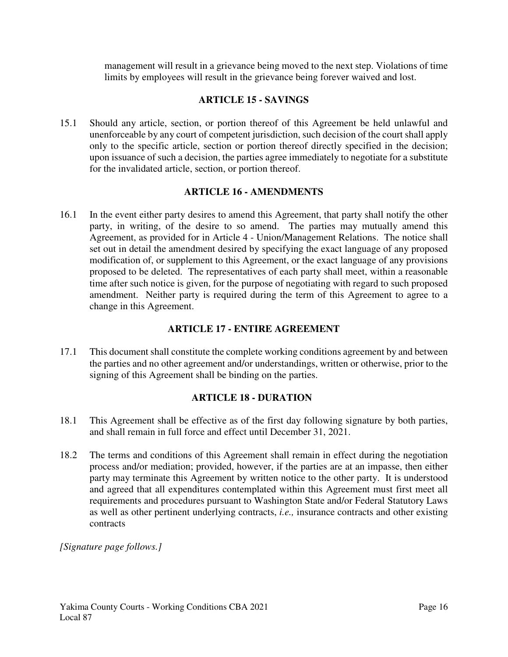management will result in a grievance being moved to the next step. Violations of time limits by employees will result in the grievance being forever waived and lost.

#### **ARTICLE 15 - SAVINGS**

15.1 Should any article, section, or portion thereof of this Agreement be held unlawful and unenforceable by any court of competent jurisdiction, such decision of the court shall apply only to the specific article, section or portion thereof directly specified in the decision; upon issuance of such a decision, the parties agree immediately to negotiate for a substitute for the invalidated article, section, or portion thereof.

#### **ARTICLE 16 - AMENDMENTS**

16.1 In the event either party desires to amend this Agreement, that party shall notify the other party, in writing, of the desire to so amend. The parties may mutually amend this Agreement, as provided for in Article 4 - Union/Management Relations. The notice shall set out in detail the amendment desired by specifying the exact language of any proposed modification of, or supplement to this Agreement, or the exact language of any provisions proposed to be deleted. The representatives of each party shall meet, within a reasonable time after such notice is given, for the purpose of negotiating with regard to such proposed amendment. Neither party is required during the term of this Agreement to agree to a change in this Agreement.

#### **ARTICLE 17 - ENTIRE AGREEMENT**

17.1 This document shall constitute the complete working conditions agreement by and between the parties and no other agreement and/or understandings, written or otherwise, prior to the signing of this Agreement shall be binding on the parties.

## **ARTICLE 18 - DURATION**

- 18.1 This Agreement shall be effective as of the first day following signature by both parties, and shall remain in full force and effect until December 31, 2021.
- 18.2 The terms and conditions of this Agreement shall remain in effect during the negotiation process and/or mediation; provided, however, if the parties are at an impasse, then either party may terminate this Agreement by written notice to the other party. It is understood and agreed that all expenditures contemplated within this Agreement must first meet all requirements and procedures pursuant to Washington State and/or Federal Statutory Laws as well as other pertinent underlying contracts, *i.e.,* insurance contracts and other existing contracts

*[Signature page follows.]*